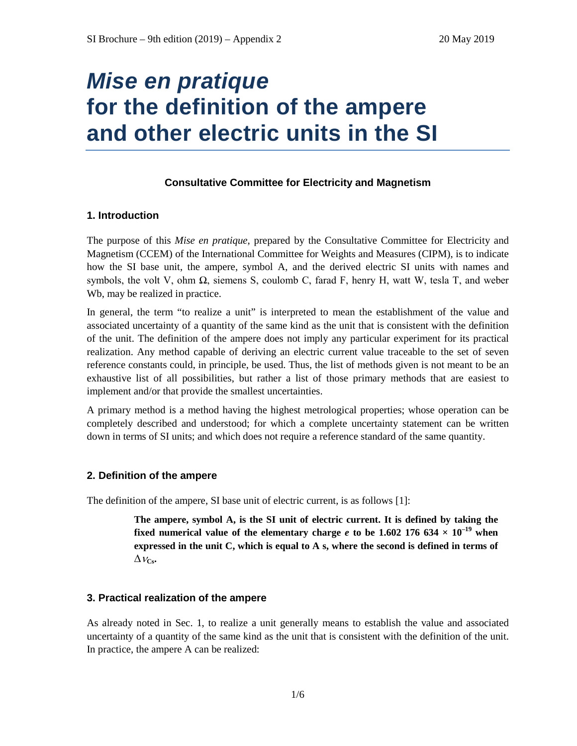# *Mise en pratique* **for the definition of the ampere and other electric units in the SI**

## **Consultative Committee for Electricity and Magnetism**

## **1. Introduction**

The purpose of this *Mise en pratique*, prepared by the Consultative Committee for Electricity and Magnetism (CCEM) of the International Committee for Weights and Measures (CIPM), is to indicate how the SI base unit, the ampere, symbol A, and the derived electric SI units with names and symbols, the volt V, ohm  $\Omega$ , siemens S, coulomb C, farad F, henry H, watt W, tesla T, and weber Wb, may be realized in practice.

In general, the term "to realize a unit" is interpreted to mean the establishment of the value and associated uncertainty of a quantity of the same kind as the unit that is consistent with the definition of the unit. The definition of the ampere does not imply any particular experiment for its practical realization. Any method capable of deriving an electric current value traceable to the set of seven reference constants could, in principle, be used. Thus, the list of methods given is not meant to be an exhaustive list of all possibilities, but rather a list of those primary methods that are easiest to implement and/or that provide the smallest uncertainties.

A primary method is a method having the highest metrological properties; whose operation can be completely described and understood; for which a complete uncertainty statement can be written down in terms of SI units; and which does not require a reference standard of the same quantity.

## **2. Definition of the ampere**

The definition of the ampere, SI base unit of electric current, is as follows [1]:

**The ampere, symbol A, is the SI unit of electric current. It is defined by taking the fixed numerical value of the elementary charge** *e* **to be 1.602 176 634**  $\times$  **10<sup>-19</sup> when expressed in the unit C, which is equal to A s, where the second is defined in terms of**   $\Delta v_{\text{Cs}}$ .

## **3. Practical realization of the ampere**

As already noted in Sec. 1, to realize a unit generally means to establish the value and associated uncertainty of a quantity of the same kind as the unit that is consistent with the definition of the unit. In practice, the ampere A can be realized: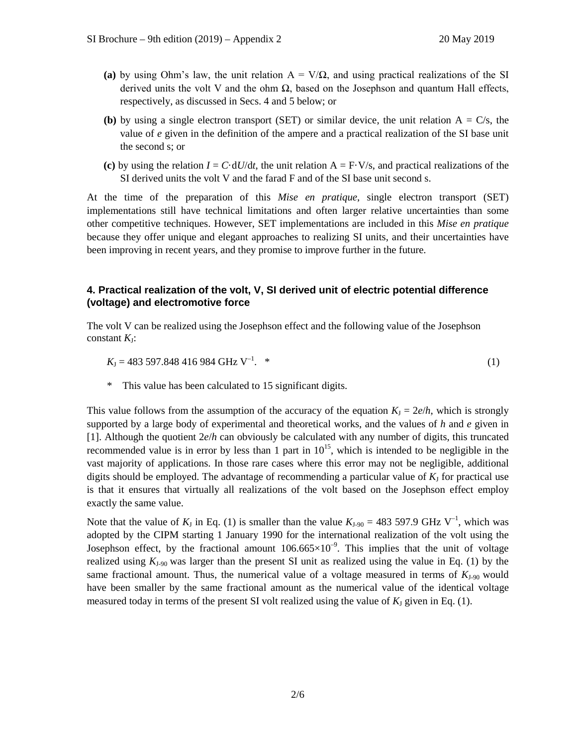- (a) by using Ohm's law, the unit relation  $A = V/\Omega$ , and using practical realizations of the SI derived units the volt V and the ohm  $\Omega$ , based on the Josephson and quantum Hall effects, respectively, as discussed in Secs. 4 and 5 below; or
- **(b)** by using a single electron transport (SET) or similar device, the unit relation  $A = C/s$ , the value of *e* given in the definition of the ampere and a practical realization of the SI base unit the second s; or
- (c) by using the relation  $I = C \cdot dU/dt$ , the unit relation  $A = F \cdot V/s$ , and practical realizations of the SI derived units the volt V and the farad F and of the SI base unit second s.

At the time of the preparation of this *Mise en pratique*, single electron transport (SET) implementations still have technical limitations and often larger relative uncertainties than some other competitive techniques. However, SET implementations are included in this *Mise en pratique* because they offer unique and elegant approaches to realizing SI units, and their uncertainties have been improving in recent years, and they promise to improve further in the future.

# **4. Practical realization of the volt, V, SI derived unit of electric potential difference (voltage) and electromotive force**

The volt V can be realized using the Josephson effect and the following value of the Josephson constant  $K_I$ :

$$
K_{\rm J} = 483\,597.848\,416\,984\,\rm{GHz}\,\rm{V}^{-1}.\tag{1}
$$

This value has been calculated to 15 significant digits.

This value follows from the assumption of the accuracy of the equation  $K<sub>1</sub> = 2e/h$ , which is strongly supported by a large body of experimental and theoretical works, and the values of *h* and *e* given in [1]. Although the quotient 2*e*/*h* can obviously be calculated with any number of digits, this truncated recommended value is in error by less than 1 part in  $10^{15}$ , which is intended to be negligible in the vast majority of applications. In those rare cases where this error may not be negligible, additional digits should be employed. The advantage of recommending a particular value of  $K_J$  for practical use is that it ensures that virtually all realizations of the volt based on the Josephson effect employ exactly the same value.

Note that the value of  $K_J$  in Eq. (1) is smaller than the value  $K_{J-90} = 483\,597.9$  GHz V<sup>-1</sup>, which was adopted by the CIPM starting 1 January 1990 for the international realization of the volt using the Josephson effect, by the fractional amount  $106.665 \times 10^{-9}$ . This implies that the unit of voltage realized using  $K_{J.90}$  was larger than the present SI unit as realized using the value in Eq. (1) by the same fractional amount. Thus, the numerical value of a voltage measured in terms of  $K_{J-90}$  would have been smaller by the same fractional amount as the numerical value of the identical voltage measured today in terms of the present SI volt realized using the value of  $K_J$  given in Eq. (1).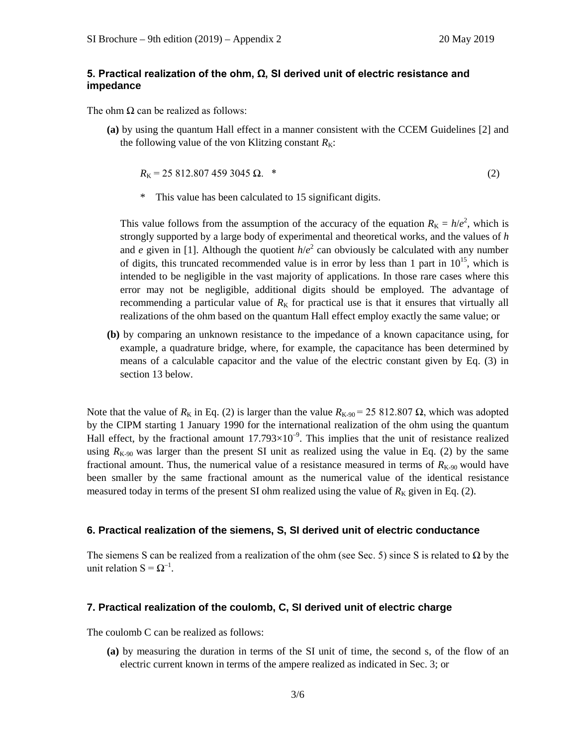## **5. Practical realization of the ohm, Ω, SI derived unit of electric resistance and impedance**

The ohm  $\Omega$  can be realized as follows:

**(a)** by using the quantum Hall effect in a manner consistent with the CCEM Guidelines [2] and the following value of the von Klitzing constant  $R_K$ :

$$
R_{\rm K} = 25812.8074593045 \,\Omega. \tag{2}
$$

\* This value has been calculated to 15 significant digits.

This value follows from the assumption of the accuracy of the equation  $R_K = h/e^2$ , which is strongly supported by a large body of experimental and theoretical works, and the values of *h* and *e* given in [1]. Although the quotient  $h/e^2$  can obviously be calculated with any number of digits, this truncated recommended value is in error by less than 1 part in  $10^{15}$ , which is intended to be negligible in the vast majority of applications. In those rare cases where this error may not be negligible, additional digits should be employed. The advantage of recommending a particular value of  $R_K$  for practical use is that it ensures that virtually all realizations of the ohm based on the quantum Hall effect employ exactly the same value; or

**(b)** by comparing an unknown resistance to the impedance of a known capacitance using, for example, a quadrature bridge, where, for example, the capacitance has been determined by means of a calculable capacitor and the value of the electric constant given by Eq. (3) in section 13 below.

Note that the value of  $R_k$  in Eq. (2) is larger than the value  $R_{K-90} = 25812.807 \Omega$ , which was adopted by the CIPM starting 1 January 1990 for the international realization of the ohm using the quantum Hall effect, by the fractional amount  $17.793 \times 10^{-9}$ . This implies that the unit of resistance realized using  $R_{K-90}$  was larger than the present SI unit as realized using the value in Eq. (2) by the same fractional amount. Thus, the numerical value of a resistance measured in terms of  $R_{K-90}$  would have been smaller by the same fractional amount as the numerical value of the identical resistance measured today in terms of the present SI ohm realized using the value of  $R_K$  given in Eq. (2).

### **6. Practical realization of the siemens, S, SI derived unit of electric conductance**

The siemens S can be realized from a realization of the ohm (see Sec. 5) since S is related to  $\Omega$  by the unit relation  $S = \Omega^{-1}$ .

#### **7. Practical realization of the coulomb, C, SI derived unit of electric charge**

The coulomb C can be realized as follows:

**(a)** by measuring the duration in terms of the SI unit of time, the second s, of the flow of an electric current known in terms of the ampere realized as indicated in Sec. 3; or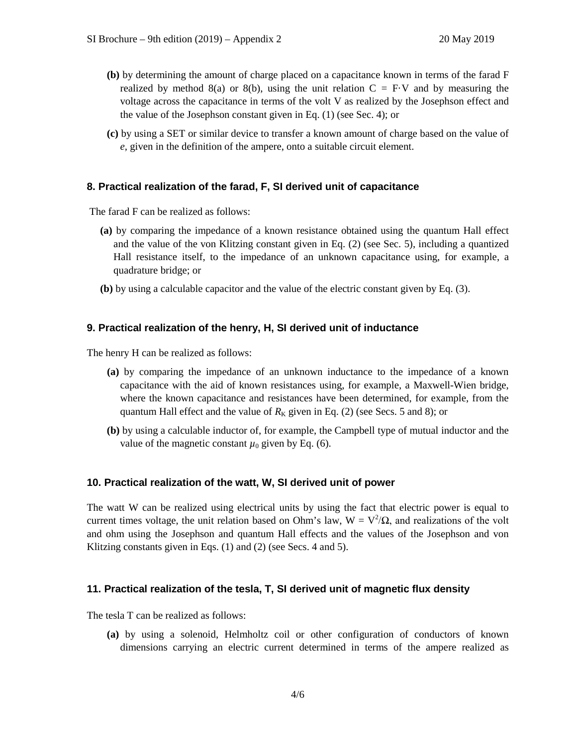- **(b)** by determining the amount of charge placed on a capacitance known in terms of the farad F realized by method 8(a) or 8(b), using the unit relation  $C = F \cdot V$  and by measuring the voltage across the capacitance in terms of the volt V as realized by the Josephson effect and the value of the Josephson constant given in Eq. (1) (see Sec. 4); or
- **(c)** by using a SET or similar device to transfer a known amount of charge based on the value of *e,* given in the definition of the ampere, onto a suitable circuit element.

### **8. Practical realization of the farad, F, SI derived unit of capacitance**

The farad F can be realized as follows:

- **(a)** by comparing the impedance of a known resistance obtained using the quantum Hall effect and the value of the von Klitzing constant given in Eq. (2) (see Sec. 5), including a quantized Hall resistance itself, to the impedance of an unknown capacitance using, for example, a quadrature bridge; or
- **(b)** by using a calculable capacitor and the value of the electric constant given by Eq. (3).

### **9. Practical realization of the henry, H, SI derived unit of inductance**

The henry H can be realized as follows:

- **(a)** by comparing the impedance of an unknown inductance to the impedance of a known capacitance with the aid of known resistances using, for example, a Maxwell-Wien bridge, where the known capacitance and resistances have been determined, for example, from the quantum Hall effect and the value of  $R_K$  given in Eq. (2) (see Secs. 5 and 8); or
- **(b)** by using a calculable inductor of, for example, the Campbell type of mutual inductor and the value of the magnetic constant  $\mu_0$  given by Eq. (6).

#### **10. Practical realization of the watt, W, SI derived unit of power**

The watt W can be realized using electrical units by using the fact that electric power is equal to current times voltage, the unit relation based on Ohm's law,  $W = V^2/\Omega$ , and realizations of the volt and ohm using the Josephson and quantum Hall effects and the values of the Josephson and von Klitzing constants given in Eqs. (1) and (2) (see Secs. 4 and 5).

#### **11. Practical realization of the tesla, T, SI derived unit of magnetic flux density**

The tesla T can be realized as follows:

**(a)** by using a solenoid, Helmholtz coil or other configuration of conductors of known dimensions carrying an electric current determined in terms of the ampere realized as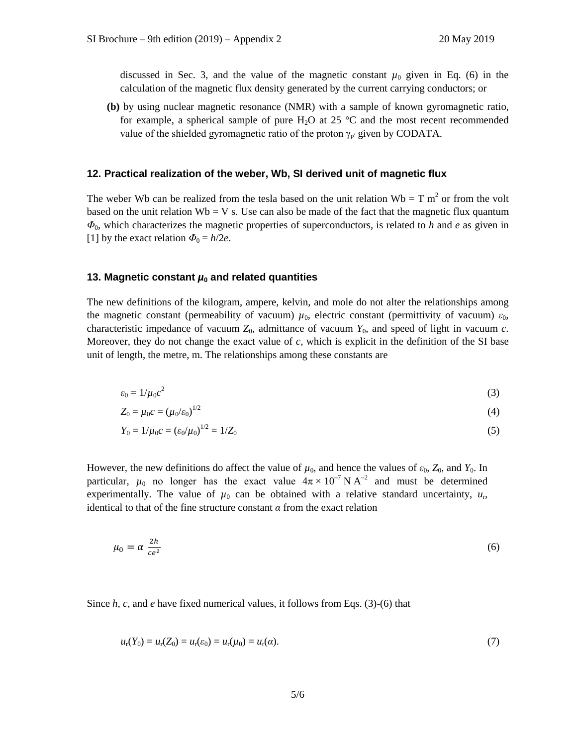discussed in Sec. 3, and the value of the magnetic constant  $\mu_0$  given in Eq. (6) in the calculation of the magnetic flux density generated by the current carrying conductors; or

**(b)** by using nuclear magnetic resonance (NMR) with a sample of known gyromagnetic ratio, for example, a spherical sample of pure H<sub>2</sub>O at 25  $\degree$ C and the most recent recommended value of the shielded gyromagnetic ratio of the proton  $\gamma_{p'}$  given by CODATA.

### **12. Practical realization of the weber, Wb, SI derived unit of magnetic flux**

The weber Wb can be realized from the tesla based on the unit relation  $Wb = T m^2$  or from the volt based on the unit relation  $Wb = V$  s. Use can also be made of the fact that the magnetic flux quantum *Φ*0, which characterizes the magnetic properties of superconductors, is related to *h* and *e* as given in [1] by the exact relation  $\Phi_0 = h/2e$ .

#### **13. Magnetic constant**  $\mu_0$  **and related quantities**

The new definitions of the kilogram, ampere, kelvin, and mole do not alter the relationships among the magnetic constant (permeability of vacuum)  $\mu_0$ , electric constant (permittivity of vacuum)  $\varepsilon_0$ , characteristic impedance of vacuum  $Z_0$ , admittance of vacuum  $Y_0$ , and speed of light in vacuum *c*. Moreover, they do not change the exact value of *c*, which is explicit in the definition of the SI base unit of length, the metre, m. The relationships among these constants are

$$
\varepsilon_0 = 1/\mu_0 c^2 \tag{3}
$$

$$
Z_0 = \mu_0 c = (\mu_0 / \varepsilon_0)^{1/2} \tag{4}
$$

$$
Y_0 = 1/\mu_0 c = \left(\frac{\varepsilon_0}{\mu_0}\right)^{1/2} = 1/Z_0 \tag{5}
$$

However, the new definitions do affect the value of  $\mu_0$ , and hence the values of  $\varepsilon_0$ ,  $Z_0$ , and  $Y_0$ . In particular,  $\mu_0$  no longer has the exact value  $4\pi \times 10^{-7}$  N A<sup>-2</sup> and must be determined experimentally. The value of  $\mu_0$  can be obtained with a relative standard uncertainty,  $u_r$ , identical to that of the fine structure constant  $\alpha$  from the exact relation

$$
\mu_0 = \alpha \frac{2h}{ce^2} \tag{6}
$$

Since *h*, *c*, and *e* have fixed numerical values, it follows from Eqs. (3)-(6) that

$$
u_{r}(Y_{0}) = u_{r}(Z_{0}) = u_{r}(\varepsilon_{0}) = u_{r}(\mu_{0}) = u_{r}(\alpha).
$$
\n(7)